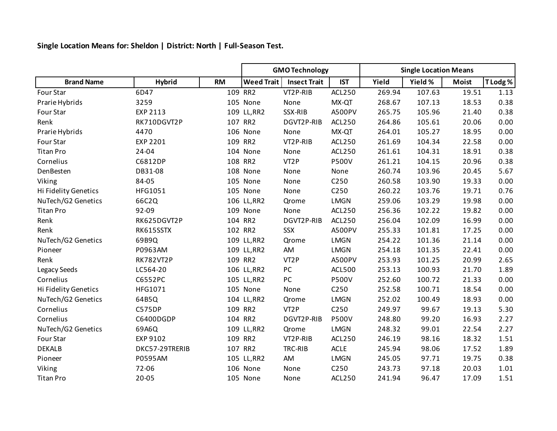**Single Location Means for: Sheldon | District: North | Full-Season Test.**

|                      |                |           | <b>GMO Technology</b> |                     |                  | <b>Single Location Means</b> |         |              |          |
|----------------------|----------------|-----------|-----------------------|---------------------|------------------|------------------------------|---------|--------------|----------|
| <b>Brand Name</b>    | <b>Hybrid</b>  | <b>RM</b> | <b>Weed Trait</b>     | <b>Insect Trait</b> | <b>IST</b>       | Yield                        | Yield % | <b>Moist</b> | T Lodg % |
| Four Star            | 6D47           |           | 109 RR2               | VT2P-RIB            | ACL250           | 269.94                       | 107.63  | 19.51        | 1.13     |
| Prarie Hybrids       | 3259           |           | 105 None              | None                | MX-QT            | 268.67                       | 107.13  | 18.53        | 0.38     |
| Four Star            | EXP 2113       |           | 109 LL, RR2           | SSX-RIB             | A500PV           | 265.75                       | 105.96  | 21.40        | 0.38     |
| Renk                 | RK710DGVT2P    |           | 107 RR2               | DGVT2P-RIB          | ACL250           | 264.86                       | 105.61  | 20.06        | 0.00     |
| Prarie Hybrids       | 4470           |           | 106 None              | None                | MX-QT            | 264.01                       | 105.27  | 18.95        | 0.00     |
| Four Star            | EXP 2201       |           | 109 RR2               | VT2P-RIB            | ACL250           | 261.69                       | 104.34  | 22.58        | 0.00     |
| <b>Titan Pro</b>     | $24 - 04$      |           | 104 None              | None                | ACL250           | 261.61                       | 104.31  | 18.91        | 0.38     |
| Cornelius            | C6812DP        |           | 108 RR2               | VT <sub>2</sub> P   | <b>P500V</b>     | 261.21                       | 104.15  | 20.96        | 0.38     |
| DenBesten            | DB31-08        |           | 108 None              | None                | None             | 260.74                       | 103.96  | 20.45        | 5.67     |
| Viking               | 84-05          |           | 105 None              | None                | C250             | 260.58                       | 103.90  | 19.33        | 0.00     |
| Hi Fidelity Genetics | HFG1051        |           | 105 None              | None                | C250             | 260.22                       | 103.76  | 19.71        | 0.76     |
| NuTech/G2 Genetics   | 66C2Q          |           | 106 LL, RR2           | Qrome               | <b>LMGN</b>      | 259.06                       | 103.29  | 19.98        | 0.00     |
| <b>Titan Pro</b>     | 92-09          |           | 109 None              | None                | ACL250           | 256.36                       | 102.22  | 19.82        | 0.00     |
| Renk                 | RK625DGVT2P    |           | 104 RR2               | DGVT2P-RIB          | ACL250           | 256.04                       | 102.09  | 16.99        | 0.00     |
| Renk                 | RK615SSTX      |           | 102 RR2               | <b>SSX</b>          | A500PV           | 255.33                       | 101.81  | 17.25        | 0.00     |
| NuTech/G2 Genetics   | 69B9Q          |           | 109 LL, RR2           | Qrome               | <b>LMGN</b>      | 254.22                       | 101.36  | 21.14        | 0.00     |
| Pioneer              | P0963AM        |           | 109 LL, RR2           | AM                  | <b>LMGN</b>      | 254.18                       | 101.35  | 22.41        | 0.00     |
| Renk                 | RK782VT2P      |           | 109 RR2               | VT <sub>2</sub> P   | A500PV           | 253.93                       | 101.25  | 20.99        | 2.65     |
| Legacy Seeds         | LC564-20       |           | 106 LL, RR2           | PC                  | <b>ACL500</b>    | 253.13                       | 100.93  | 21.70        | 1.89     |
| Cornelius            | C6552PC        |           | 105 LL, RR2           | PC                  | <b>P500V</b>     | 252.60                       | 100.72  | 21.33        | 0.00     |
| Hi Fidelity Genetics | HFG1071        |           | 105 None              | None                | C <sub>250</sub> | 252.58                       | 100.71  | 18.54        | 0.00     |
| NuTech/G2 Genetics   | 64B5Q          |           | 104 LL, RR2           | Qrome               | <b>LMGN</b>      | 252.02                       | 100.49  | 18.93        | 0.00     |
| Cornelius            | <b>C575DP</b>  |           | 109 RR2               | VT <sub>2</sub> P   | C250             | 249.97                       | 99.67   | 19.13        | 5.30     |
| Cornelius            | C6400DGDP      |           | 104 RR2               | DGVT2P-RIB          | <b>P500V</b>     | 248.80                       | 99.20   | 16.93        | 2.27     |
| NuTech/G2 Genetics   | 69A6Q          |           | 109 LL, RR2           | Qrome               | <b>LMGN</b>      | 248.32                       | 99.01   | 22.54        | 2.27     |
| Four Star            | EXP 9102       |           | 109 RR2               | VT2P-RIB            | <b>ACL250</b>    | 246.19                       | 98.16   | 18.32        | 1.51     |
| <b>DEKALB</b>        | DKC57-29TRERIB |           | 107 RR2               | TRC-RIB             | ACLE             | 245.94                       | 98.06   | 17.52        | 1.89     |
| Pioneer              | P0595AM        |           | 105 LL, RR2           | AM                  | <b>LMGN</b>      | 245.05                       | 97.71   | 19.75        | 0.38     |
| Viking               | 72-06          |           | 106 None              | None                | C <sub>250</sub> | 243.73                       | 97.18   | 20.03        | 1.01     |
| <b>Titan Pro</b>     | $20 - 05$      |           | 105 None              | None                | <b>ACL250</b>    | 241.94                       | 96.47   | 17.09        | 1.51     |